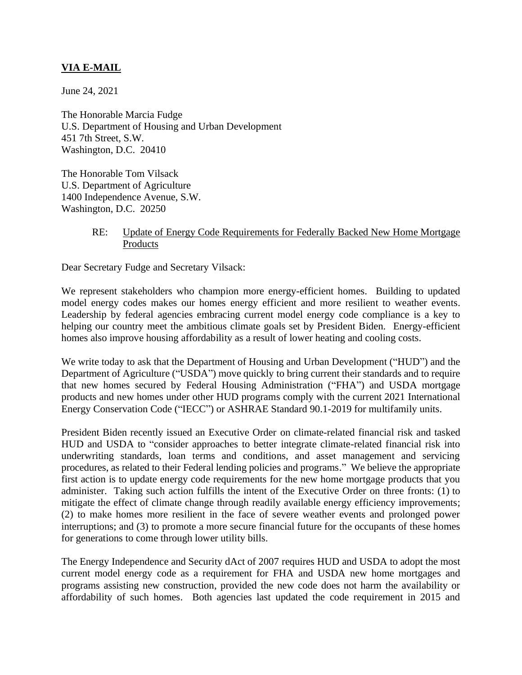## **VIA E-MAIL**

June 24, 2021

The Honorable Marcia Fudge U.S. Department of Housing and Urban Development 451 7th Street, S.W. Washington, D.C. 20410

The Honorable Tom Vilsack U.S. Department of Agriculture 1400 Independence Avenue, S.W. Washington, D.C. 20250

## RE: Update of Energy Code Requirements for Federally Backed New Home Mortgage Products

Dear Secretary Fudge and Secretary Vilsack:

We represent stakeholders who champion more energy-efficient homes. Building to updated model energy codes makes our homes energy efficient and more resilient to weather events. Leadership by federal agencies embracing current model energy code compliance is a key to helping our country meet the ambitious climate goals set by President Biden. Energy-efficient homes also improve housing affordability as a result of lower heating and cooling costs.

We write today to ask that the Department of Housing and Urban Development ("HUD") and the Department of Agriculture ("USDA") move quickly to bring current their standards and to require that new homes secured by Federal Housing Administration ("FHA") and USDA mortgage products and new homes under other HUD programs comply with the current 2021 International Energy Conservation Code ("IECC") or ASHRAE Standard 90.1-2019 for multifamily units.

President Biden recently issued an Executive Order on climate-related financial risk and tasked HUD and USDA to "consider approaches to better integrate climate-related financial risk into underwriting standards, loan terms and conditions, and asset management and servicing procedures, as related to their Federal lending policies and programs." We believe the appropriate first action is to update energy code requirements for the new home mortgage products that you administer. Taking such action fulfills the intent of the Executive Order on three fronts: (1) to mitigate the effect of climate change through readily available energy efficiency improvements; (2) to make homes more resilient in the face of severe weather events and prolonged power interruptions; and (3) to promote a more secure financial future for the occupants of these homes for generations to come through lower utility bills.

The Energy Independence and Security dAct of 2007 requires HUD and USDA to adopt the most current model energy code as a requirement for FHA and USDA new home mortgages and programs assisting new construction, provided the new code does not harm the availability or affordability of such homes. Both agencies last updated the code requirement in 2015 and